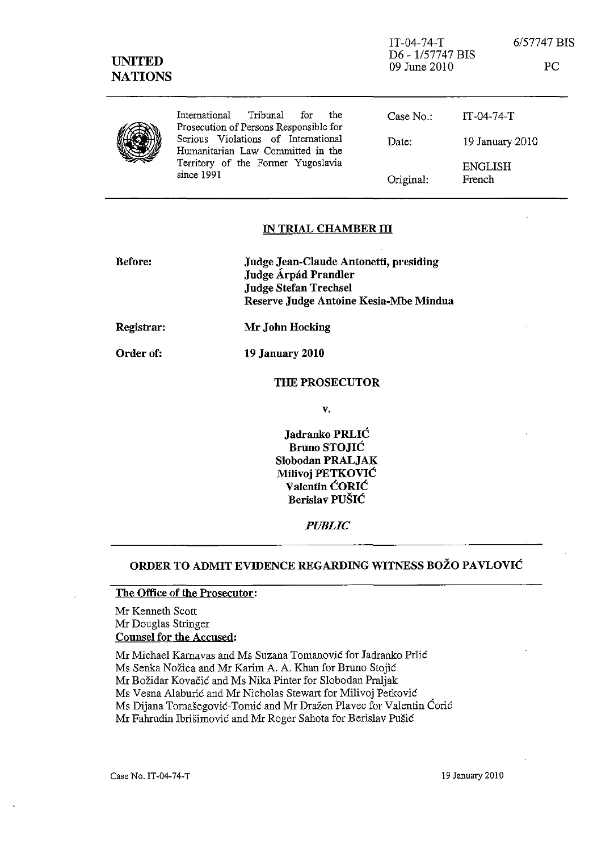| <b>UNITED</b><br><b>NATIONS</b> |                                                                                                                              | $IT-04-74-T$<br>D6 - 1/57747 BIS<br>09 June 2010 |                   | 6/57747 BIS<br>PC |
|---------------------------------|------------------------------------------------------------------------------------------------------------------------------|--------------------------------------------------|-------------------|-------------------|
|                                 | International<br>Tribunal<br>the<br>for<br>Prosecution of Persons Responsible for                                            | Case $No.$ :                                     | $IT-04-74-T$      |                   |
|                                 | Serious Violations of International<br>Humanitarian Law Committed in the<br>Territory of the Former Yugoslavia<br>since 1991 | Date:                                            | 19 January 2010   |                   |
|                                 |                                                                                                                              | Original:                                        | ENGLISH<br>French |                   |

### IN TRIAL CHAMBER III

| Judge Jean-Claude Antonetti, presiding |  |
|----------------------------------------|--|
| Judge Árpád Prandler                   |  |
| <b>Judge Stefan Trechsel</b>           |  |
| Reserve Judge Antoine Kesia-Mbe Mindua |  |
|                                        |  |

19 January 2010

Registrar: Mr John Hocking

Order of:

THE PROSECUTOR

v.

Jadranko PRLIC Bruno STOJIC Slobodan PRALJAK Milivoj PETKOVIC Valentin CORIC Berislav PUSIC

*PUBLIC* 

# ORDER TO ADMIT EVIDENCE REGARDING WITNESS BOZO PAVLOVIC

## The Office of the Prosecutor:

Mr Kenneth Scott Mr Douglas Stringer Counsel for the Accused:

Mr Michael Karnavas and Ms Suzana Tomanovic for Jadranko Prlic Ms Senka Nožica and Mr Karim A. A. Khan for Bruno Stojić Mr Bozidar Kovacic and Ms Nika Pinter for Slobodan Praljak Ms Vesna Alaburic and Mr Nicholas Stewart for Milivoj Petkovic Ms Dijana Tomasegovic-Tomic and Mr Drazen Plavec for Valentin Corie Mr Fahrudin Ibrisimovic and Mr Roger Sahota for Berislav Pusic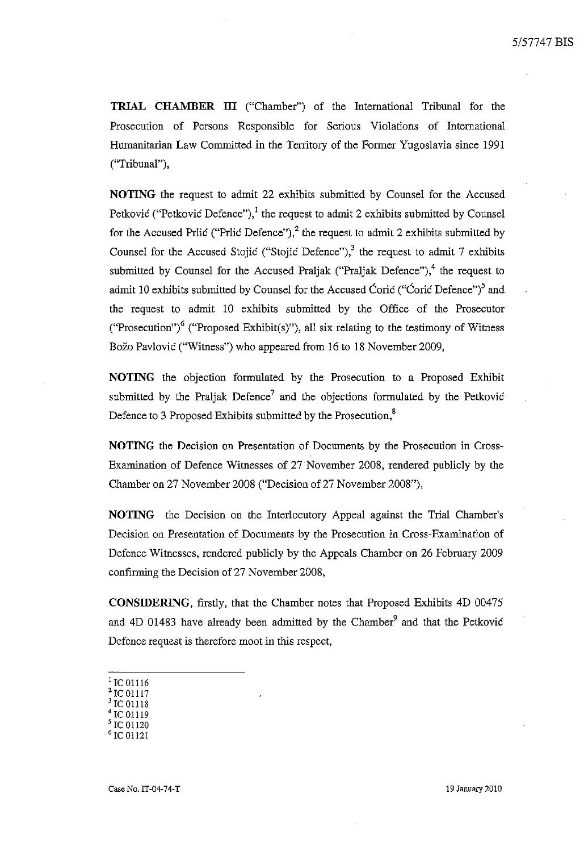**TRIAL CHAMBER III** ("Chamber") of the Intemational Tribunal for the Prosecution of Persons Responsible for Serious Violations of International Humanitarian Law Committed in the Territory of the Former Yugoslavia since 1991 ("Tribunal"),

**NOTING** the request to admit 22 exhibits submitted by Counsel for the Accused Petković ("Petković Defence"),<sup>1</sup> the request to admit 2 exhibits submitted by Counsel for the Accused Prlic ("Prlic Defence"),<sup>2</sup> the request to admit 2 exhibits submitted by Counsel for the Accused Stojić ("Stojić Defence"),<sup>3</sup> the request to admit 7 exhibits submitted by Counsel for the Accused Praliak ("Praliak Defence"),  $4$  the request to admit 10 exhibits submitted by Counsel for the Accused Ćorić ("Ćorić Defence")<sup>5</sup> and the request to admit 10 exhibits submitted by the Office of the Prosecutor ("Prosecution")<sup>6</sup> ("Proposed Exhibit(s)"), all six relating to the testimony of Witness Božo Pavlović ("Witness") who appeared from 16 to 18 November 2009,

**NOTING** the objection formulated by the Prosecution to a Proposed Exhibit submitted by the Praljak Defence<sup>7</sup> and the objections formulated by the Petković Defence to 3 Proposed Exhibits submitted by the Prosecution,<sup>8</sup>

**NOTING** the Decision on Presentation of Documents by the Prosecution in Cross-Examination of Defence Witnesses of 27 November 2008, rendered publicly by the Chamber on 27 November 2008 ("Decision of 27 November 2008"),

**NOTING** the Decision on the Interlocutory Appeal against the Trial Chamber's Decision on Presentation of Documents by the Prosecution in Cross-Examination of Defence Witnesses, rendered publicly by the Appeals Chamber on 26 February 2009 confirming the Decision of 27 November 2008,

**CONSIDERING,** firstly, that the Chamber notes that Proposed Exhibits 4D 00475 and  $4D$  01483 have already been admitted by the Chamber<sup>9</sup> and that the Petković Defence request is therefore moot in this respect,

- 'rC01116
- 2rcol117
- $\frac{3}{5}$  IC 01118 'rC01119
- IC 01120
- 6 rc 01121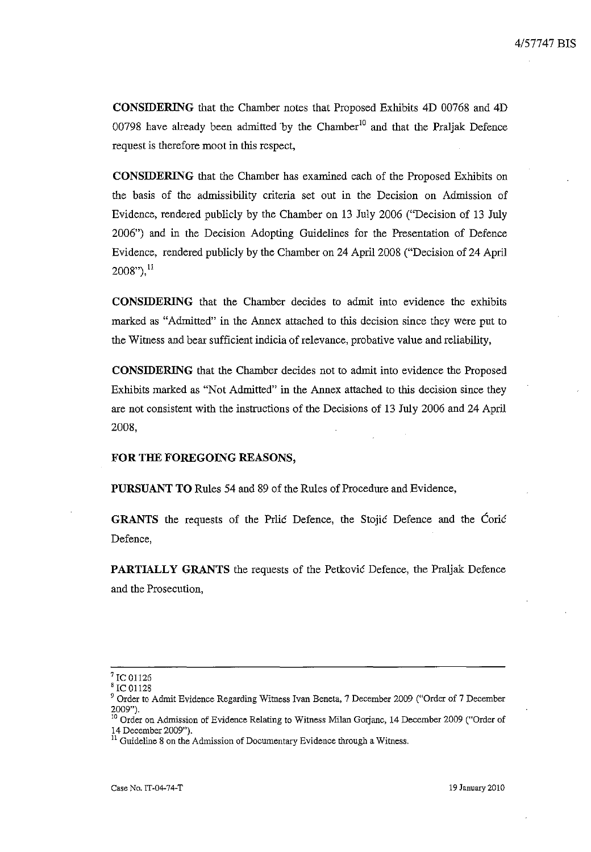**CONSIDERING** that the Chamber notes that Proposed Exhibits 4D 00768 and 4D 00798 have already been admitted by the Chamber<sup>10</sup> and that the Praljak Defence request is therefore moot in this respect,

**CONSIDERING** that the Chamber has examined each of the Proposed Exhibits on the basis of the admissibility criteria set out in the Decision on Admission of Evidence, rendered publicly by the Chamber on 13 July 2006 ("Decision of 13 July 2006") and in the Decision Adopting Guidelines for the Presentation of Defence Evidence, rendered publicly by the Chamber on 24 April 2008 ("Decision of 24 April  $2008"$ <sup>11</sup>

**CONSIDERING** that the Chamber decides to admit into evidence the exhibits marked as "Admitted" in the Annex attached to this decision since they were put to the Wituess and bear sufficient indicia of relevance, probative value and reliability,

**CONSIDERING** that the Chamber decides not to admit into evidence the Proposed Exhibits marked as "Not Admitted" in the Annex attached to this decision since they are not consistent with the instructions of the Decisions of 13 July 2006 and 24 April 2008,

### **FOR THE FOREGOING REASONS,**

**PURSUANT TO** Rules 54 and 89 of the Rules of Procedure and Evidence,

GRANTS the requests of the Prlic Defence, the Stojic Defence and the Corie Defence,

**PARTIALLY GRANTS** the requests of the Petkovic Defence, the Praljak Defence and the Prosecution,

 $^7$  IC 01126

IC 01128

<sup>9</sup> Order to Admit Evidence Regarding Witness Ivan Beneta, 7 December 2009 ("Order of 7 December 2009")\_

<sup>&</sup>lt;sup>10</sup> Order on Admission of Evidence Relating to Witness Milan Gorjanc, 14 December 2009 ("Order of 14 December 2009").

**<sup>11</sup>Guideline 8 on the Admission of Documentary Evidence through a Witness.**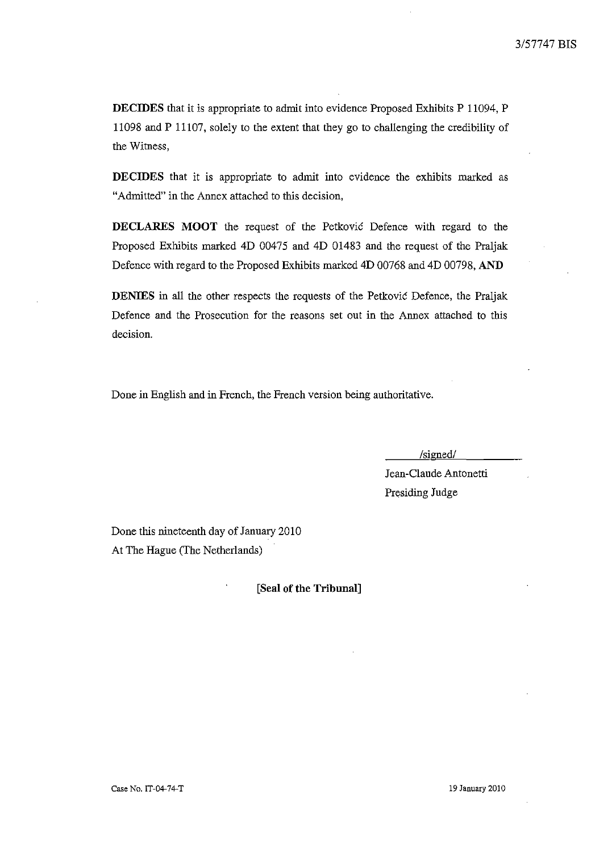**DECIDES** that it is appropriate to admit into evidence Proposed Exhibits P 11094, P 11098 and P 11107, solely to the extent that they go to challenging the credibility of the Witness,

**DECIDES** that it is appropriate to admit into evidence the exhibits marked as "Admitted" in the Annex attached to this decision,

**DECLARES MOOT** the request of the Petkovic Defence with regard to the Proposed Exhibits marked 4D 00475 and 4D 01483 and the request of the Praljak Defence with regard to the Proposed Exhibits marked 4D 00768 and 4D 00798, **AND** 

**DENIES** in all the other respects the requests of the Petkovic Defence, the Praljak Defence and the Prosecution for the reasons set out in the Annex attached to this decision.

Done in English and in French, the French version being authoritative.

/signed/

Jean-Claude Antonetti Presiding Judge

Done this nineteenth day of January 2010 At The Hague (The Netherlands)

**[Seal of the Tribunal]**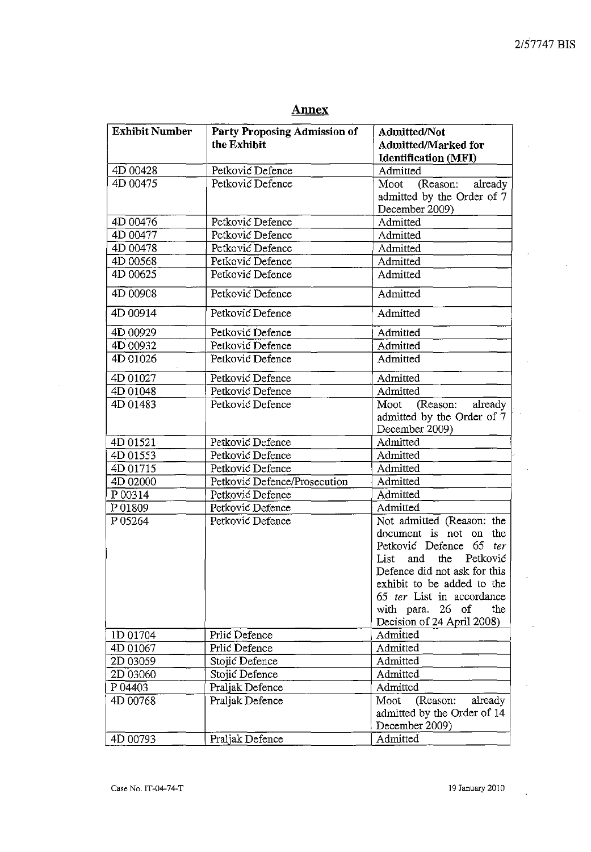$\cdot$ 

 $\hat{\mathcal{A}}$ 

# **Annex**

| <b>Exhibit Number</b> | Party Proposing Admission of<br><b>Admitted/Not</b> |                              |  |
|-----------------------|-----------------------------------------------------|------------------------------|--|
|                       | the Exhibit                                         | Admitted/Marked for          |  |
| 4D 00428              | Petković Defence                                    | <b>Identification (MFI)</b>  |  |
| 4D 00475              |                                                     | Admitted                     |  |
|                       | Petković Defence                                    | (Reason: already<br>Moot     |  |
|                       |                                                     | admitted by the Order of 7   |  |
|                       |                                                     | December 2009)               |  |
| 4D 00476              | Petković Defence                                    | Admitted                     |  |
| 4D 00477              | Petković Defence                                    | Admitted                     |  |
| 4D 00478              | Petković Defence                                    | Admitted                     |  |
| 4D 00568              | Petković Defence                                    | Admitted                     |  |
| 4D 00625              | Petković Defence                                    | Admitted                     |  |
| 4D 00908              | Petković Defence                                    | Admitted                     |  |
| 4D 00914              | Petković Defence                                    | Admitted                     |  |
| 4D 00929              | Petković Defence                                    | Admitted                     |  |
| 4D 00932              | Petković Defence                                    | Admitted                     |  |
| 4D 01026              | Petković Defence                                    | Admitted                     |  |
| 4D 01027              | Petković Defence                                    | Admitted                     |  |
| 4D 01048              | Petković Defence                                    | Admitted                     |  |
| 4D 01483              | Petković Defence                                    | (Reason:<br>already<br>Moot  |  |
|                       |                                                     | admitted by the Order of 7   |  |
|                       |                                                     | December 2009)               |  |
| 4D 01521              | Petković Defence                                    | Admitted                     |  |
| 4D 01553              | Petković Defence                                    | Admitted                     |  |
| 4D 01715              | Petković Defence                                    | Admitted                     |  |
| 4D 02000              | Petković Defence/Prosecution                        | Admitted                     |  |
| P 00314               | Petković Defence                                    | Admitted                     |  |
| P01809                | Petković Defence                                    | Admitted                     |  |
| P05264                | Petković Defence                                    | Not admitted (Reason: the    |  |
|                       |                                                     | document is not on the       |  |
|                       |                                                     | Petković Defence 65 ter      |  |
|                       |                                                     | and<br>the Petković<br>List  |  |
|                       |                                                     | Defence did not ask for this |  |
|                       |                                                     | exhibit to be added to the   |  |
|                       |                                                     | 65 ter List in accordance    |  |
|                       |                                                     | with para. 26 of<br>the      |  |
|                       |                                                     | Decision of 24 April 2008)   |  |
| 1D 01704              | Prlić Defence                                       | Admitted                     |  |
| 4D 01067              | Prlić Defence                                       | Admitted                     |  |
| 2D 03059              | Stojić Defence                                      | Admitted                     |  |
| 2D 03060              | Stojić Defence                                      | Admitted                     |  |
| P 04403               | Praljak Defence                                     | Admitted                     |  |
| 4D 00768              | Praljak Defence                                     | Moot<br>(Reason:<br>already  |  |
|                       |                                                     | admitted by the Order of 14  |  |
|                       |                                                     | December 2009)               |  |
| 4D 00793              | Praljak Defence                                     | Admitted                     |  |

ł,

 $\hat{\mathcal{A}}$ 

 $\ddot{\phantom{a}}$